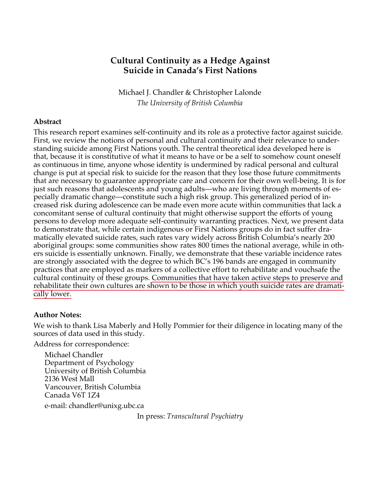# **Cultural Continuity as a Hedge Against Suicide in Canada's First Nations**

Michael J. Chandler & Christopher Lalonde *The University of British Columbia*

## **Abstract**

This research report examines self-continuity and its role as a protective factor against suicide. First, we review the notions of personal and cultural continuity and their relevance to understanding suicide among First Nations youth. The central theoretical idea developed here is that, because it is constitutive of what it means to have or be a self to somehow count oneself as continuous in time, anyone whose identity is undermined by radical personal and cultural change is put at special risk to suicide for the reason that they lose those future commitments that are necessary to guarantee appropriate care and concern for their own well-being. It is for just such reasons that adolescents and young adults—who are living through moments of especially dramatic change—constitute such a high risk group. This generalized period of increased risk during adolescence can be made even more acute within communities that lack a concomitant sense of cultural continuity that might otherwise support the efforts of young persons to develop more adequate self-continuity warranting practices. Next, we present data to demonstrate that, while certain indigenous or First Nations groups do in fact suffer dramatically elevated suicide rates, such rates vary widely across British Columbia's nearly 200 aboriginal groups: some communities show rates 800 times the national average, while in others suicide is essentially unknown. Finally, we demonstrate that these variable incidence rates are strongly associated with the degree to which BC's 196 bands are engaged in community practices that are employed as markers of a collective effort to rehabilitate and vouchsafe the cultural continuity of these groups. Communities that have taken active steps to preserve and rehabilitate their own cultures are shown to be those in which youth suicide rates are dramatically lower.

## **Author Notes:**

We wish to thank Lisa Maberly and Holly Pommier for their diligence in locating many of the sources of data used in this study.

Address for correspondence:

Michael Chandler Department of Psychology University of British Columbia 2136 West Mall Vancouver, British Columbia Canada V6T 1Z4 e-mail: chandler@unixg.ubc.ca

In press: *Transcultural Psychiatry*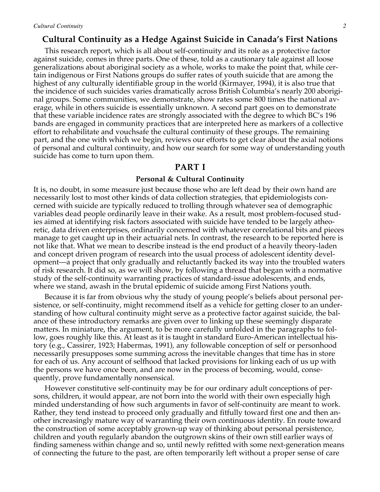## **Cultural Continuity as a Hedge Against Suicide in Canada's First Nations**

This research report, which is all about self-continuity and its role as a protective factor against suicide, comes in three parts. One of these, told as a cautionary tale against all loose generalizations about aboriginal society as a whole, works to make the point that, while certain indigenous or First Nations groups do suffer rates of youth suicide that are among the highest of any culturally identifiable group in the world (Kirmayer, 1994), it is also true that the incidence of such suicides varies dramatically across British Columbia's nearly 200 aboriginal groups. Some communities, we demonstrate, show rates some 800 times the national average, while in others suicide is essentially unknown. A second part goes on to demonstrate that these variable incidence rates are strongly associated with the degree to which BC's 196 bands are engaged in community practices that are interpreted here as markers of a collective effort to rehabilitate and vouchsafe the cultural continuity of these groups. The remaining part, and the one with which we begin, reviews our efforts to get clear about the axial notions of personal and cultural continuity, and how our search for some way of understanding youth suicide has come to turn upon them.

### **PART I**

### **Personal & Cultural Continuity**

It is, no doubt, in some measure just because those who are left dead by their own hand are necessarily lost to most other kinds of data collection strategies, that epidemiologists concerned with suicide are typically reduced to trolling through whatever sea of demographic variables dead people ordinarily leave in their wake. As a result, most problem-focused studies aimed at identifying risk factors associated with suicide have tended to be largely atheoretic, data driven enterprises, ordinarily concerned with whatever correlational bits and pieces manage to get caught up in their actuarial nets. In contrast, the research to be reported here is not like that. What we mean to describe instead is the end product of a heavily theory-laden and concept driven program of research into the usual process of adolescent identity development—a project that only gradually and reluctantly backed its way into the troubled waters of risk research. It did so, as we will show, by following a thread that began with a normative study of the self-continuity warranting practices of standard-issue adolescents, and ends, where we stand, awash in the brutal epidemic of suicide among First Nations youth.

Because it is far from obvious why the study of young people's beliefs about personal persistence, or self-continuity, might recommend itself as a vehicle for getting closer to an understanding of how cultural continuity might serve as a protective factor against suicide, the balance of these introductory remarks are given over to linking up these seemingly disparate matters. In miniature, the argument, to be more carefully unfolded in the paragraphs to follow, goes roughly like this. At least as it is taught in standard Euro-American intellectual history (e.g., Cassirer, 1923; Habermas, 1991), any followable conception of self or personhood necessarily presupposes some summing across the inevitable changes that time has in store for each of us. Any account of selfhood that lacked provisions for linking each of us up with the persons we have once been, and are now in the process of becoming, would, consequently, prove fundamentally nonsensical.

However constitutive self-continuity may be for our ordinary adult conceptions of persons, children, it would appear, are not born into the world with their own especially high minded understanding of how such arguments in favor of self-continuity are meant to work. Rather, they tend instead to proceed only gradually and fitfully toward first one and then another increasingly mature way of warranting their own continuous identity. En route toward the construction of some acceptably grown-up way of thinking about personal persistence, children and youth regularly abandon the outgrown skins of their own still earlier ways of finding sameness within change and so, until newly refitted with some next-generation means of connecting the future to the past, are often temporarily left without a proper sense of care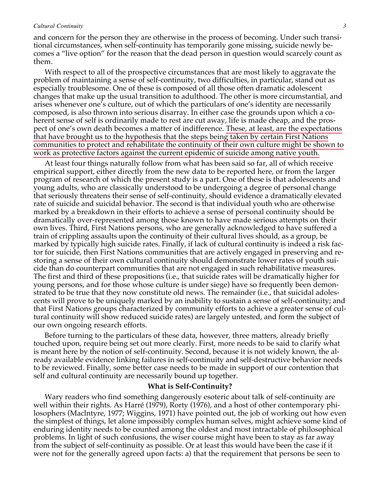and concern for the person they are otherwise in the process of becoming. Under such transitional circumstances, when self-continuity has temporarily gone missing, suicide newly becomes a "live option" for the reason that the dead person in question would scarcely count as them.

With respect to all of the prospective circumstances that are most likely to aggravate the problem of maintaining a sense of self-continuity, two difficulties, in particular, stand out as especially troublesome. One of these is composed of all those often dramatic adolescent changes that make up the usual transition to adulthood. The other is more circumstantial, and arises whenever one's culture, out of which the particulars of one's identity are necessarily composed, is also thrown into serious disarray. In either case the grounds upon which a coherent sense of self is ordinarily made to rest are cut away, life is made cheap, and the prospect of one's own death becomes a matter of indifference. These, at least, are the expectations that have brought us to the hypothesis that the steps being taken by certain First Nations communities to protect and rehabilitate the continuity of their own culture might be shown to work as protective factors against the current epidemic of suicide among native youth.

At least four things naturally follow from what has been said so far, all of which receive empirical support, either directly from the new data to be reported here, or from the larger program of research of which the present study is a part. One of these is that adolescents and young adults, who are classically understood to be undergoing a degree of personal change that seriously threatens their sense of self-continuity, should evidence a dramatically elevated rate of suicide and suicidal behavior. The second is that individual youth who are otherwise marked by a breakdown in their efforts to achieve a sense of personal continuity should be dramatically over-represented among those known to have made serious attempts on their own lives. Third, First Nations persons, who are generally acknowledged to have suffered a train of crippling assaults upon the continuity of their cultural lives should, as a group, be marked by typically high suicide rates. Finally, if lack of cultural continuity is indeed a risk factor for suicide, then First Nations communities that are actively engaged in preserving and restoring a sense of their own cultural continuity should demonstrate lower rates of youth suicide than do counterpart communities that are not engaged in such rehabilitative measures. The first and third of these propositions (i.e., that suicide rates will be dramatically higher for young persons, and for those whose culture is under siege) have so frequently been demonstrated to be true that they now constitute old news. The remainder (i.e., that suicidal adolescents will prove to be uniquely marked by an inability to sustain a sense of self-continuity; and that First Nations groups characterized by community efforts to achieve a greater sense of cultural continuity will show reduced suicide rates) are largely untested, and form the subject of our own ongoing research efforts.

Before turning to the particulars of these data, however, three matters, already briefly touched upon, require being set out more clearly. First, more needs to be said to clarify what is meant here by the notion of self-continuity. Second, because it is not widely known, the already available evidence linking failures in self-continuity and self-destructive behavior needs to be reviewed. Finally, some better case needs to be made in support of our contention that self and cultural continuity are necessarily bound up together.

### **What is Self-Continuity?**

Wary readers who find something dangerously esoteric about talk of self-continuity are well within their rights. As Harré (1979), Rorty (1976), and a host of other contemporary philosophers (Maclntyre, 1977; Wiggins, 1971) have pointed out, the job of working out how even the simplest of things, let alone impossibly complex human selves, might achieve some kind of enduring identity needs to be counted among the oldest and most intractable of philosophical problems. In light of such confusions, the wiser course might have been to stay as far away from the subject of self-continuity as possible. Or at least this would have been the case if it were not for the generally agreed upon facts: a) that the requirement that persons be seen to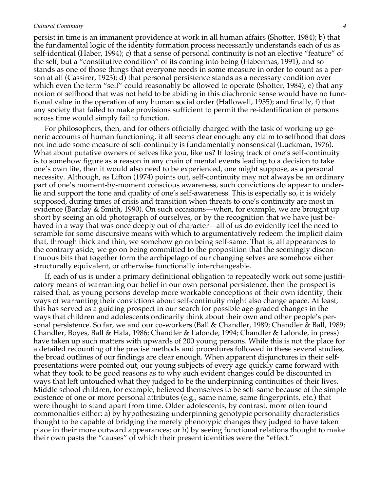persist in time is an immanent providence at work in all human affairs (Shotter, 1984); b) that the fundamental logic of the identity formation process necessarily understands each of us as self-identical (Haber, 1994); c) that a sense of personal continuity is not an elective "feature" of the self, but a "constitutive condition" of its coming into being (Habermas, 1991), and so stands as one of those things that everyone needs in some measure in order to count as a person at all (Cassirer, 1923); d) that personal persistence stands as a necessary condition over which even the term "self" could reasonably be allowed to operate (Shotter, 1984); e) that any notion of selfhood that was not held to be abiding in this diachronic sense would have no functional value in the operation of any human social order (Hallowell, 1955); and finally, f) that any society that failed to make provisions sufficient to permit the re-identification of persons across time would simply fail to function.

For philosophers, then, and for others officially charged with the task of working up generic accounts of human functioning, it all seems clear enough: any claim to selfhood that does not include some measure of self-continuity is fundamentally nonsensical (Luckman, 1976). What about putative owners of selves like you, like us? If losing track of one's self-continuity is to somehow figure as a reason in any chain of mental events leading to a decision to take one's own life, then it would also need to be experienced, one might suppose, as a personal necessity. Although, as Lifton (1974) points out, self-continuity may not always be an ordinary part of one's moment-by-moment conscious awareness, such convictions do appear to underlie and support the tone and quality of one's self-awareness. This is especially so, it is widely supposed, during times of crisis and transition when threats to one's continuity are most in evidence (Barclay & Smith, 1990). On such occasions—when, for example, we are brought up short by seeing an old photograph of ourselves, or by the recognition that we have just behaved in a way that was once deeply out of character—all of us do evidently feel the need to scramble for some discursive means with which to argumentatively redeem the implicit claim that, through thick and thin, we somehow go on being self-same. That is, all appearances to the contrary aside, we go on being committed to the proposition that the seemingly discontinuous bits that together form the archipelago of our changing selves are somehow either structurally equivalent, or otherwise functionally interchangeable.

If, each of us is under a primary definitional obligation to repeatedly work out some justificatory means of warranting our belief in our own personal persistence, then the prospect is raised that, as young persons develop more workable conceptions of their own identity, their ways of warranting their convictions about self-continuity might also change apace. At least, this has served as a guiding prospect in our search for possible age-graded changes in the ways that children and adolescents ordinarily think about their own and other people's personal persistence. So far, we and our co-workers (Ball & Chandler, 1989; Chandler & Ball, 1989; Chandler, Boyes, Ball & Hala, 1986; Chandler & Lalonde, 1994; Chandler & Lalonde, in press) have taken up such matters with upwards of 200 young persons. While this is not the place for a detailed recounting of the precise methods and procedures followed in these several studies, the broad outlines of our findings are clear enough. When apparent disjunctures in their selfpresentations were pointed out, our young subjects of every age quickly came forward with what they took to be good reasons as to why such evident changes could be discounted in ways that left untouched what they judged to be the underpinning continuities of their lives. Middle school children, for example, believed themselves to be self-same because of the simple existence of one or more personal attributes (e.g., same name, same fingerprints, etc.) that were thought to stand apart from time. Older adolescents, by contrast, more often found commonalties either: a) by hypothesizing underpinning genotypic personality characteristics thought to be capable of bridging the merely phenotypic changes they judged to have taken place in their more outward appearances; or b) by seeing functional relations thought to make their own pasts the "causes" of which their present identities were the "effect."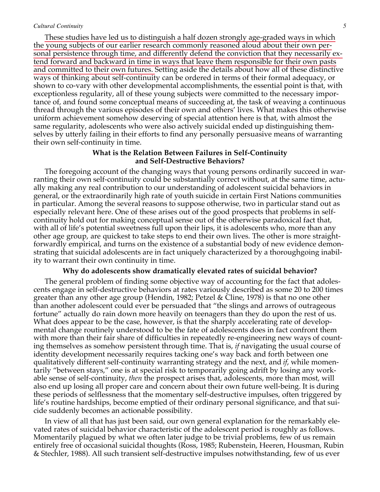These studies have led us to distinguish a half dozen strongly age-graded ways in which the young subjects of our earlier research commonly reasoned aloud about their own personal persistence through time, and differently defend the conviction that they necessarily extend forward and backward in time in ways that leave them responsible for their own pasts and committed to their own futures. Setting aside the details about how all of these distinctive ways of thinking about self-continuity can be ordered in terms of their formal adequacy, or shown to co-vary with other developmental accomplishments, the essential point is that, with exceptionless regularity, all of these young subjects were committed to the necessary importance of, and found some conceptual means of succeeding at, the task of weaving a continuous thread through the various episodes of their own and others' lives. What makes this otherwise uniform achievement somehow deserving of special attention here is that, with almost the same regularity, adolescents who were also actively suicidal ended up distinguishing themselves by utterly failing in their efforts to find any personally persuasive means of warranting their own self-continuity in time.

### **What is the Relation Between Failures in Self-Continuity and Self-Destructive Behaviors?**

The foregoing account of the changing ways that young persons ordinarily succeed in warranting their own self-continuity could be substantially correct without, at the same time, actually making any real contribution to our understanding of adolescent suicidal behaviors in general, or the extraordinarily high rate of youth suicide in certain First Nations communities in particular. Among the several reasons to suppose otherwise, two in particular stand out as especially relevant here. One of these arises out of the good prospects that problems in selfcontinuity hold out for making conceptual sense out of the otherwise paradoxical fact that, with all of life's potential sweetness full upon their lips, it is adolescents who, more than any other age group, are quickest to take steps to end their own lives. The other is more straightforwardly empirical, and turns on the existence of a substantial body of new evidence demonstrating that suicidal adolescents are in fact uniquely characterized by a thoroughgoing inability to warrant their own continuity in time.

#### **Why do adolescents show dramatically elevated rates of suicidal behavior?**

The general problem of finding some objective way of accounting for the fact that adolescents engage in self-destructive behaviors at rates variously described as some 20 to 200 times greater than any other age group (Hendin, 1982; Petzel & Cline, 1978) is that no one other than another adolescent could ever be persuaded that "the slings and arrows of outrageous fortune" actually do rain down more heavily on teenagers than they do upon the rest of us. What does appear to be the case, however, is that the sharply accelerating rate of developmental change routinely understood to be the fate of adolescents does in fact confront them with more than their fair share of difficulties in repeatedly re-engineering new ways of counting themselves as somehow persistent through time. That is, *if* navigating the usual course of identity development necessarily requires tacking one's way back and forth between one qualitatively different self-continuity warranting strategy and the next, and *if*, while momentarily "between stays," one is at special risk to temporarily going adrift by losing any workable sense of self-continuity, *then* the prospect arises that, adolescents, more than most, will also end up losing all proper care and concern about their own future well-being. It is during these periods of selflessness that the momentary self-destructive impulses, often triggered by life's routine hardships, become emptied of their ordinary personal significance, and that suicide suddenly becomes an actionable possibility.

In view of all that has just been said, our own general explanation for the remarkably elevated rates of suicidal behavior characteristic of the adolescent period is roughly as follows. Momentarily plagued by what we often later judge to be trivial problems, few of us remain entirely free of occasional suicidal thoughts (Ross, 1985; Rubenstein, Heeren, Housman, Rubin & Stechler, 1988). All such transient self-destructive impulses notwithstanding, few of us ever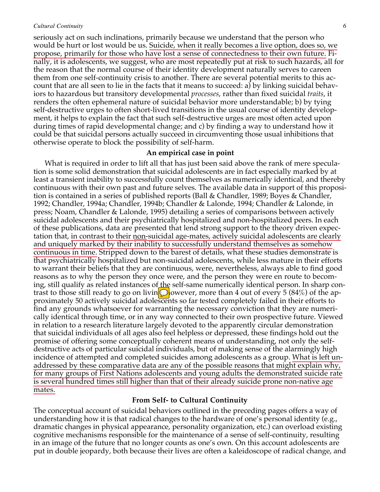seriously act on such inclinations, primarily because we understand that the person who would be hurt or lost would be us. Suicide, when it really becomes a live option, does so, we propose, primarily for those who have lost a sense of connectedness to their own future. Finally, it is adolescents, we suggest, who are most repeatedly put at risk to such hazards, all for the reason that the normal course of their identity development naturally serves to careen them from one self-continuity crisis to another. There are several potential merits to this account that are all seen to lie in the facts that it means to succeed: a) by linking suicidal behaviors to hazardous but transitory developmental *processes*, rather than fixed suicidal *traits*, it renders the often ephemeral nature of suicidal behavior more understandable; b) by tying self-destructive urges to often short-lived transitions in the usual course of identity development, it helps to explain the fact that such self-destructive urges are most often acted upon during times of rapid developmental change; and c) by finding a way to understand how it could be that suicidal persons actually succeed in circumventing those usual inhibitions that otherwise operate to block the possibility of self-harm.

### **An empirical case in point**

What is required in order to lift all that has just been said above the rank of mere speculation is some solid demonstration that suicidal adolescents are in fact especially marked by at least a transient inability to successfully count themselves as numerically identical, and thereby continuous with their own past and future selves. The available data in support of this proposition is contained in a series of published reports (Ball & Chandler, 1989; Boyes & Chandler, 1992; Chandler, 1994a; Chandler, 1994b; Chandler & Lalonde, 1994; Chandler & Lalonde, in press; Noam, Chandler & Lalonde, 1995) detailing a series of comparisons between actively suicidal adolescents and their psychiatrically hospitalized and non-hospitalized peers. In each of these publications, data are presented that lend strong support to the theory driven expectation that, in contrast to their <u>non-suicidal age-mates</u>, actively suicidal adolescents are clearly and uniquely marked by their inability to successfully understand themselves as somehow continuous in time. Stripped down to the barest of details, what these studies demonstrate is that psychiatrically hospitalized but non-suicidal adolescents, while less mature in their efforts to warrant their beliefs that they are continuous, were, nevertheless, always able to find good reasons as to why the person they once were, and the person they were en route to becoming, still qualify as related instances of the self-same numerically identical person. In sharp contrast to those still ready to go on livin  $\odot$  owever, more than 4 out of every 5 (84%) of the approximately 50 actively suicidal adolescents so far tested completely failed in their efforts to find any grounds whatsoever for warranting the necessary conviction that they are numerically identical through time, or in any way connected to their own prospective future. Viewed in relation to a research literature largely devoted to the apparently circular demonstration that suicidal individuals of all ages also feel helpless or depressed, these findings hold out the promise of offering some conceptually coherent means of understanding, not only the selfdestructive acts of particular suicidal individuals, but of making sense of the alarmingly high incidence of attempted and completed suicides among adolescents as a group. What is left unaddressed by these comparative data are any of the possible reasons that might explain why, for many groups of First Nations adolescents and young adults the demonstrated suicide rate is several hundred times still higher than that of their already suicide prone non-native age mates.

### **From Self- to Cultural Continuity**

The conceptual account of suicidal behaviors outlined in the preceding pages offers a way of understanding how it is that radical changes to the hardware of one's personal identity (e.g., dramatic changes in physical appearance, personality organization, etc.) can overload existing cognitive mechanisms responsible for the maintenance of a sense of self-continuity, resulting in an image of the future that no longer counts as one's own. On this account adolescents are put in double jeopardy, both because their lives are often a kaleidoscope of radical change, and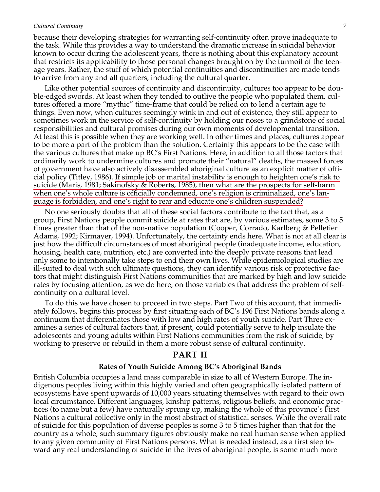because their developing strategies for warranting self-continuity often prove inadequate to the task. While this provides a way to understand the dramatic increase in suicidal behavior known to occur during the adolescent years, there is nothing about this explanatory account that restricts its applicability to those personal changes brought on by the turmoil of the teenage years. Rather, the stuff of which potential continuities and discontinuities are made tends to arrive from any and all quarters, including the cultural quarter.

Like other potential sources of continuity and discontinuity, cultures too appear to be double-edged swords. At least when they tended to outlive the people who populated them, cultures offered a more "mythic" time-frame that could be relied on to lend a certain age to things. Even now, when cultures seemingly wink in and out of existence, they still appear to sometimes work in the service of self-continuity by holding our noses to a grindstone of social responsibilities and cultural promises during our own moments of developmental transition. At least this is possible when they are working well. In other times and places, cultures appear to be more a part of the problem than the solution. Certainly this appears to be the case with the various cultures that make up BC's First Nations. Here, in addition to all those factors that ordinarily work to undermine cultures and promote their "natural" deaths, the massed forces of government have also actively disassembled aboriginal culture as an explicit matter of official policy (Titley, 1986). If simple job or marital instability is enough to heighten one's risk to suicide (Maris, 1981; Sakinofsky & Roberts, 1985), then what are the prospects for self-harm when one's whole culture is officially condemned, one's religion is criminalized, one's language is forbidden, and one's right to rear and educate one's children suspended?

No one seriously doubts that all of these social factors contribute to the fact that, as a group, First Nations people commit suicide at rates that are, by various estimates, some 3 to 5 times greater than that of the non-native population (Cooper, Corrado, Karlberg & Pelletier Adams, 1992; Kirmayer, 1994). Unfortunately, the certainty ends here. What is not at all clear is just how the difficult circumstances of most aboriginal people (inadequate income, education, housing, health care, nutrition, etc.) are converted into the deeply private reasons that lead only some to intentionally take steps to end their own lives. While epidemiological studies are ill-suited to deal with such ultimate questions, they can identify various risk or protective factors that might distinguish First Nations communities that are marked by high and low suicide rates by focusing attention, as we do here, on those variables that address the problem of selfcontinuity on a cultural level.

To do this we have chosen to proceed in two steps. Part Two of this account, that immediately follows, begins this process by first situating each of BC's 196 First Nations bands along a continuum that differentiates those with low and high rates of youth suicide. Part Three examines a series of cultural factors that, if present, could potentially serve to help insulate the adolescents and young adults within First Nations communities from the risk of suicide, by working to preserve or rebuild in them a more robust sense of cultural continuity.

## **PART II**

#### **Rates of Youth Suicide Among BC's Aboriginal Bands**

British Columbia occupies a land mass comparable in size to all of Western Europe. The indigenous peoples living within this highly varied and often geographically isolated pattern of ecosystems have spent upwards of 10,000 years situating themselves with regard to their own local circumstance. Different languages, kinship patterns, religious beliefs, and economic practices (to name but a few) have naturally sprung up, making the whole of this province's First Nations a cultural collective only in the most abstract of statistical senses. While the overall rate of suicide for this population of diverse peoples is some 3 to 5 times higher than that for the country as a whole, such summary figures obviously make no real human sense when applied to any given community of First Nations persons. What is needed instead, as a first step toward any real understanding of suicide in the lives of aboriginal people, is some much more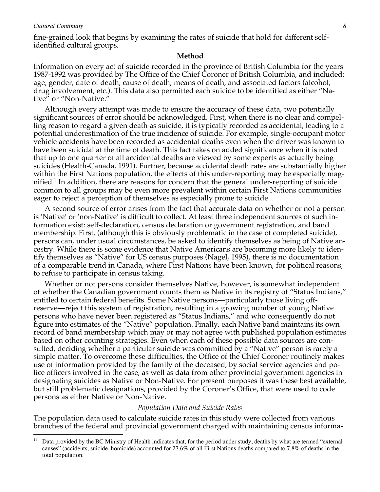$\overline{a}$ 

fine-grained look that begins by examining the rates of suicide that hold for different selfidentified cultural groups.

### **Method**

Information on every act of suicide recorded in the province of British Columbia for the years 1987-1992 was provided by The Office of the Chief Coroner of British Columbia, and included: age, gender, date of death, cause of death, means of death, and associated factors (alcohol, drug involvement, etc.). This data also permitted each suicide to be identified as either "Native" or "Non-Native."

Although every attempt was made to ensure the accuracy of these data, two potentially significant sources of error should be acknowledged. First, when there is no clear and compelling reason to regard a given death as suicide, it is typically recorded as accidental, leading to a potential underestimation of the true incidence of suicide. For example, single-occupant motor vehicle accidents have been recorded as accidental deaths even when the driver was known to have been suicidal at the time of death. This fact takes on added significance when it is noted that up to one quarter of all accidental deaths are viewed by some experts as actually being suicides (Health-Canada, 1991). Further, because accidental death rates are substantially higher within the First Nations population, the effects of this under-reporting may be especially magnified.<sup>1</sup> In addition, there are reasons for concern that the general under-reporting of suicide common to all groups may be even more prevalent within certain First Nations communities eager to reject a perception of themselves as especially prone to suicide.

A second source of error arises from the fact that accurate data on whether or not a person is 'Native' or 'non-Native' is difficult to collect. At least three independent sources of such information exist: self-declaration, census declaration or government registration, and band membership. First, (although this is obviously problematic in the case of completed suicide), persons can, under usual circumstances, be asked to identify themselves as being of Native ancestry. While there is some evidence that Native Americans are becoming more likely to identify themselves as "Native" for US census purposes (Nagel, 1995), there is no documentation of a comparable trend in Canada, where First Nations have been known, for political reasons, to refuse to participate in census taking.

Whether or not persons consider themselves Native, however, is somewhat independent of whether the Canadian government counts them as Native in its registry of "Status Indians," entitled to certain federal benefits. Some Native persons—particularly those living offreserve—reject this system of registration, resulting in a growing number of young Native persons who have never been registered as "Status Indians," and who consequently do not figure into estimates of the "Native" population. Finally, each Native band maintains its own record of band membership which may or may not agree with published population estimates based on other counting strategies. Even when each of these possible data sources are consulted, deciding whether a particular suicide was committed by a "Native" person is rarely a simple matter. To overcome these difficulties, the Office of the Chief Coroner routinely makes use of information provided by the family of the deceased, by social service agencies and police officers involved in the case, as well as data from other provincial government agencies in designating suicides as Native or Non-Native. For present purposes it was these best available, but still problematic designations, provided by the Coroner's Office, that were used to code persons as either Native or Non-Native.

#### *Population Data and Suicide Rates*

The population data used to calculate suicide rates in this study were collected from various branches of the federal and provincial government charged with maintaining census informa-

Data provided by the BC Ministry of Health indicates that, for the period under study, deaths by what are termed "external causes" (accidents, suicide, homicide) accounted for 27.6% of all First Nations deaths compared to 7.8% of deaths in the total population.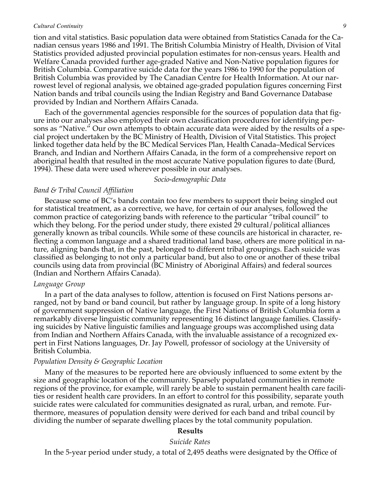tion and vital statistics. Basic population data were obtained from Statistics Canada for the Canadian census years 1986 and 1991. The British Columbia Ministry of Health, Division of Vital Statistics provided adjusted provincial population estimates for non-census years. Health and Welfare Canada provided further age-graded Native and Non-Native population figures for British Columbia. Comparative suicide data for the years 1986 to 1990 for the population of British Columbia was provided by The Canadian Centre for Health Information. At our narrowest level of regional analysis, we obtained age-graded population figures concerning First Nation bands and tribal councils using the Indian Registry and Band Governance Database provided by Indian and Northern Affairs Canada.

Each of the governmental agencies responsible for the sources of population data that figure into our analyses also employed their own classification procedures for identifying persons as "Native." Our own attempts to obtain accurate data were aided by the results of a special project undertaken by the BC Ministry of Health, Division of Vital Statistics. This project linked together data held by the BC Medical Services Plan, Health Canada–Medical Services Branch, and Indian and Northern Affairs Canada, in the form of a comprehensive report on aboriginal health that resulted in the most accurate Native population figures to date (Burd, 1994). These data were used wherever possible in our analyses.

#### *Socio-demographic Data*

### *Band & Tribal Council Affiliation*

Because some of BC's bands contain too few members to support their being singled out for statistical treatment, as a corrective, we have, for certain of our analyses, followed the common practice of categorizing bands with reference to the particular "tribal council" to which they belong. For the period under study, there existed 29 cultural/political alliances generally known as tribal councils. While some of these councils are historical in character, reflecting a common language and a shared traditional land base, others are more political in nature, aligning bands that, in the past, belonged to different tribal groupings. Each suicide was classified as belonging to not only a particular band, but also to one or another of these tribal councils using data from provincial (BC Ministry of Aboriginal Affairs) and federal sources (Indian and Northern Affairs Canada).

### *Language Group*

In a part of the data analyses to follow, attention is focused on First Nations persons arranged, not by band or band council, but rather by language group. In spite of a long history of government suppression of Native language, the First Nations of British Columbia form a remarkably diverse linguistic community representing 16 distinct language families. Classifying suicides by Native linguistic families and language groups was accomplished using data from Indian and Northern Affairs Canada, with the invaluable assistance of a recognized expert in First Nations languages, Dr. Jay Powell, professor of sociology at the University of British Columbia.

## *Population Density & Geographic Location*

Many of the measures to be reported here are obviously influenced to some extent by the size and geographic location of the community. Sparsely populated communities in remote regions of the province, for example, will rarely be able to sustain permanent health care facilities or resident health care providers. In an effort to control for this possibility, separate youth suicide rates were calculated for communities designated as rural, urban, and remote. Furthermore, measures of population density were derived for each band and tribal council by dividing the number of separate dwelling places by the total community population.

### **Results**

*Suicide Rates*

In the 5-year period under study, a total of 2,495 deaths were designated by the Office of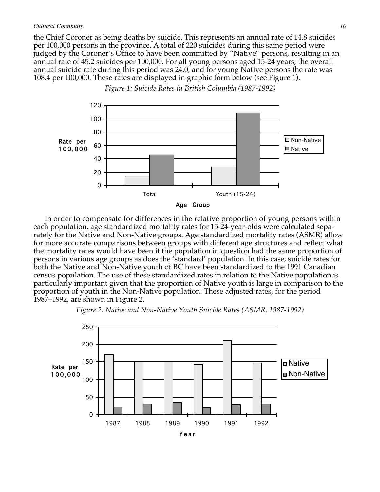the Chief Coroner as being deaths by suicide. This represents an annual rate of 14.8 suicides per 100,000 persons in the province. A total of 220 suicides during this same period were judged by the Coroner's Office to have been committed by "Native" persons, resulting in an annual rate of 45.2 suicides per 100,000. For all young persons aged 15-24 years, the overall annual suicide rate during this period was 24.0, and for young Native persons the rate was 108.4 per 100,000. These rates are displayed in graphic form below (see Figure 1).



*Figure 1: Suicide Rates in British Columbia (1987-1992)*

In order to compensate for differences in the relative proportion of young persons within each population, age standardized mortality rates for 15-24-year-olds were calculated separately for the Native and Non-Native groups. Age standardized mortality rates (ASMR) allow for more accurate comparisons between groups with different age structures and reflect what the mortality rates would have been if the population in question had the same proportion of persons in various age groups as does the 'standard' population. In this case, suicide rates for both the Native and Non-Native youth of BC have been standardized to the 1991 Canadian census population. The use of these standardized rates in relation to the Native population is particularly important given that the proportion of Native youth is large in comparison to the proportion of youth in the Non-Native population. These adjusted rates, for the period 1987–1992, are shown in Figure 2.



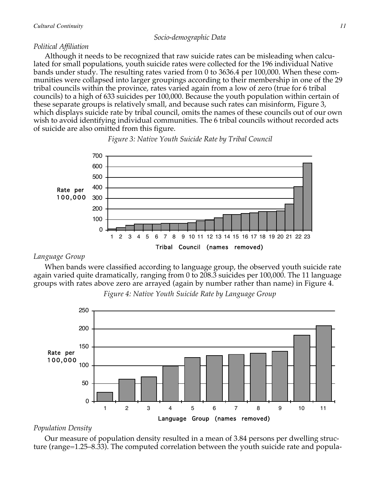## *Socio-demographic Data*

## *Political Affiliation*

Although it needs to be recognized that raw suicide rates can be misleading when calculated for small populations, youth suicide rates were collected for the 196 individual Native bands under study. The resulting rates varied from 0 to 3636.4 per 100,000. When these communities were collapsed into larger groupings according to their membership in one of the 29 tribal councils within the province, rates varied again from a low of zero (true for 6 tribal councils) to a high of 633 suicides per 100,000. Because the youth population within certain of these separate groups is relatively small, and because such rates can misinform, Figure 3, which displays suicide rate by tribal council, omits the names of these councils out of our own wish to avoid identifying individual communities. The 6 tribal councils without recorded acts of suicide are also omitted from this figure.



## *Figure 3: Native Youth Suicide Rate by Tribal Council*

## *Language Group*

When bands were classified according to language group, the observed youth suicide rate again varied quite dramatically, ranging from 0 to 208.3 suicides per 100,000. The 11 language groups with rates above zero are arrayed (again by number rather than name) in Figure 4.



*Figure 4: Native Youth Suicide Rate by Language Group*

## *Population Density*

Our measure of population density resulted in a mean of 3.84 persons per dwelling structure (range=1.25–8.33). The computed correlation between the youth suicide rate and popula-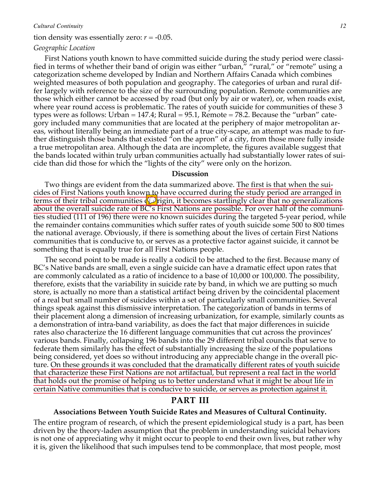### tion density was essentially zero:  $r = -0.05$ .

#### *Geographic Location*

First Nations youth known to have committed suicide during the study period were classified in terms of whether their band of origin was either "urban," "rural," or "remote" using a categorization scheme developed by Indian and Northern Affairs Canada which combines weighted measures of both population and geography. The categories of urban and rural differ largely with reference to the size of the surrounding population. Remote communities are those which either cannot be accessed by road (but only by air or water), or, when roads exist, where year round access is problematic. The rates of youth suicide for communities of these 3 types were as follows: Urban  $= 147.4$ ; Rural  $= 95.1$ , Remote  $= 78.2$ . Because the "urban" category included many communities that are located at the periphery of major metropolitan areas, without literally being an immediate part of a true city-scape, an attempt was made to further distinguish those bands that existed "on the apron" of a city, from those more fully inside a true metropolitan area. Although the data are incomplete, the figures available suggest that the bands located within truly urban communities actually had substantially lower rates of suicide than did those for which the "lights of the city" were only on the horizon.

## **Discussion**

Two things are evident from the data summarized above. The first is that when the suicides of First Nations youth known to have occurred during the study period are arranged in terms of their tribal communities  $\oint$  rigin, it becomes startlingly clear that no generalizations about the overall suicide rate of BC's First Nations are possible. For over half of the communities studied (111 of 196) there were no known suicides during the targeted 5-year period, while the remainder contains communities which suffer rates of youth suicide some 500 to 800 times the national average. Obviously, if there is something about the lives of certain First Nations communities that is conducive to, or serves as a protective factor against suicide, it cannot be something that is equally true for all First Nations people.

The second point to be made is really a codicil to be attached to the first. Because many of BC's Native bands are small, even a single suicide can have a dramatic effect upon rates that are commonly calculated as a ratio of incidence to a base of 10,000 or 100,000. The possibility, therefore, exists that the variability in suicide rate by band, in which we are putting so much store, is actually no more than a statistical artifact being driven by the coincidental placement of a real but small number of suicides within a set of particularly small communities. Several things speak against this dismissive interpretation. The categorization of bands in terms of their placement along a dimension of increasing urbanization, for example, similarly counts as a demonstration of intra-band variability, as does the fact that major differences in suicide rates also characterize the 16 different language communities that cut across the provinces' various bands. Finally, collapsing 196 bands into the 29 different tribal councils that serve to federate them similarly has the effect of substantially increasing the size of the populations being considered, yet does so without introducing any appreciable change in the overall picture. On these grounds it was concluded that the dramatically different rates of youth suicide that characterize these First Nations are not artifactual, but represent a real fact in the world that holds out the promise of helping us to better understand what it might be about life in certain Native communities that is conducive to suicide, or serves as protection against it.

## **PART III**

### **Associations Between Youth Suicide Rates and Measures of Cultural Continuity.**

The entire program of research, of which the present epidemiological study is a part, has been driven by the theory-laden assumption that the problem in understanding suicidal behaviors is not one of appreciating why it might occur to people to end their own lives, but rather why it is, given the likelihood that such impulses tend to be commonplace, that most people, most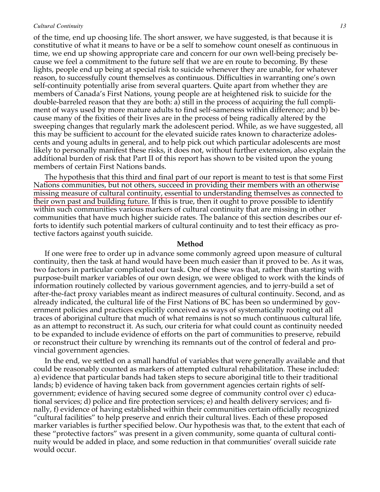of the time, end up choosing life. The short answer, we have suggested, is that because it is constitutive of what it means to have or be a self to somehow count oneself as continuous in time, we end up showing appropriate care and concern for our own well-being precisely because we feel a commitment to the future self that we are en route to becoming. By these lights, people end up being at special risk to suicide whenever they are unable, for whatever reason, to successfully count themselves as continuous. Difficulties in warranting one's own self-continuity potentially arise from several quarters. Quite apart from whether they are members of Canada's First Nations, young people are at heightened risk to suicide for the double-barreled reason that they are both: a) still in the process of acquiring the full compliment of ways used by more mature adults to find self-sameness within difference; and b) because many of the fixities of their lives are in the process of being radically altered by the sweeping changes that regularly mark the adolescent period. While, as we have suggested, all this may be sufficient to account for the elevated suicide rates known to characterize adolescents and young adults in general, and to help pick out which particular adolescents are most likely to personally manifest these risks, it does not, without further extension, also explain the additional burden of risk that Part II of this report has shown to be visited upon the young members of certain First Nations bands.

The hypothesis that this third and final part of our report is meant to test is that some First Nations communities, but not others, succeed in providing their members with an otherwise missing measure of cultural continuity, essential to understanding themselves as connected to their own past and building future. If this is true, then it ought to prove possible to identify within such communities various markers of cultural continuity that are missing in other communities that have much higher suicide rates. The balance of this section describes our efforts to identify such potential markers of cultural continuity and to test their efficacy as protective factors against youth suicide.

#### **Method**

If one were free to order up in advance some commonly agreed upon measure of cultural continuity, then the task at hand would have been much easier than it proved to be. As it was, two factors in particular complicated our task. One of these was that, rather than starting with purpose-built marker variables of our own design, we were obliged to work with the kinds of information routinely collected by various government agencies, and to jerry-build a set of after-the-fact proxy variables meant as indirect measures of cultural continuity. Second, and as already indicated, the cultural life of the First Nations of BC has been so undermined by government policies and practices explicitly conceived as ways of systematically rooting out all traces of aboriginal culture that much of what remains is not so much continuous cultural life, as an attempt to reconstruct it. As such, our criteria for what could count as continuity needed to be expanded to include evidence of efforts on the part of communities to preserve, rebuild or reconstruct their culture by wrenching its remnants out of the control of federal and provincial government agencies.

In the end, we settled on a small handful of variables that were generally available and that could be reasonably counted as markers of attempted cultural rehabilitation. These included: a) evidence that particular bands had taken steps to secure aboriginal title to their traditional lands; b) evidence of having taken back from government agencies certain rights of selfgovernment; evidence of having secured some degree of community control over c) educational services; d) police and fire protection services; e) and health delivery services; and finally, f) evidence of having established within their communities certain officially recognized "cultural facilities" to help preserve and enrich their cultural lives. Each of these proposed marker variables is further specified below. Our hypothesis was that, to the extent that each of these "protective factors" was present in a given community, some quanta of cultural continuity would be added in place, and some reduction in that communities' overall suicide rate would occur.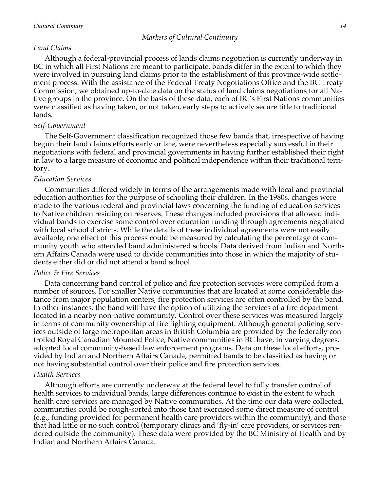## *Land Claims*

Although a federal-provincial process of lands claims negotiation is currently underway in BC in which all First Nations are meant to participate, bands differ in the extent to which they were involved in pursuing land claims prior to the establishment of this province-wide settlement process. With the assistance of the Federal Treaty Negotiations Office and the BC Treaty Commission, we obtained up-to-date data on the status of land claims negotiations for all Native groups in the province. On the basis of these data, each of BC's First Nations communities were classified as having taken, or not taken, early steps to actively secure title to traditional lands.

## *Self-Government*

The Self-Government classification recognized those few bands that, irrespective of having begun their land claims efforts early or late, were nevertheless especially successful in their negotiations with federal and provincial governments in having further established their right in law to a large measure of economic and political independence within their traditional territory.

## *Education Services*

Communities differed widely in terms of the arrangements made with local and provincial education authorities for the purpose of schooling their children. In the 1980s, changes were made to the various federal and provincial laws concerning the funding of education services to Native children residing on reserves. These changes included provisions that allowed individual bands to exercise some control over education funding through agreements negotiated with local school districts. While the details of these individual agreements were not easily available, one effect of this process could be measured by calculating the percentage of community youth who attended band administered schools. Data derived from Indian and Northern Affairs Canada were used to divide communities into those in which the majority of students either did or did not attend a band school.

## *Police & Fire Services*

Data concerning band control of police and fire protection services were compiled from a number of sources. For smaller Native communities that are located at some considerable distance from major population centers, fire protection services are often controlled by the band. In other instances, the band will have the option of utilizing the services of a fire department located in a nearby non-native community. Control over these services was measured largely in terms of community ownership of fire fighting equipment. Although general policing services outside of large metropolitan areas in British Columbia are provided by the federally controlled Royal Canadian Mounted Police, Native communities in BC have, in varying degrees, adopted local community-based law enforcement programs. Data on these local efforts, provided by Indian and Northern Affairs Canada, permitted bands to be classified as having or not having substantial control over their police and fire protection services.

## *Health Services*

Although efforts are currently underway at the federal level to fully transfer control of health services to individual bands, large differences continue to exist in the extent to which health care services are managed by Native communities. At the time our data were collected, communities could be rough-sorted into those that exercised some direct measure of control (e.g., funding provided for permanent health care providers within the community), and those that had little or no such control (temporary clinics and 'fly-in' care providers, or services rendered outside the community). These data were provided by the BC Ministry of Health and by Indian and Northern Affairs Canada.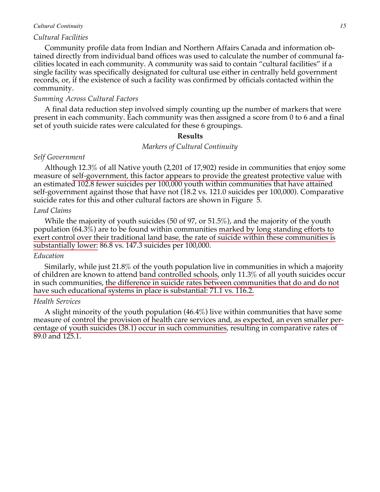### *Cultural Facilities*

Community profile data from Indian and Northern Affairs Canada and information obtained directly from individual band offices was used to calculate the number of communal facilities located in each community. A community was said to contain "cultural facilities" if a single facility was specifically designated for cultural use either in centrally held government records, or, if the existence of such a facility was confirmed by officials contacted within the community.

### *Summing Across Cultural Factors*

A final data reduction step involved simply counting up the number of markers that were present in each community. Each community was then assigned a score from 0 to 6 and a final set of youth suicide rates were calculated for these 6 groupings.

### **Results**

### *Markers of Cultural Continuity*

## *Self Government*

Although 12.3% of all Native youth (2,201 of 17,902) reside in communities that enjoy some measure of self-government, this factor appears to provide the greatest protective value with an estimated 102.8 fewer suicides per 100,000 youth within communities that have attained self-government against those that have not (18.2 vs. 121.0 suicides per 100,000). Comparative suicide rates for this and other cultural factors are shown in Figure 5.

### *Land Claims*

While the majority of youth suicides (50 of 97, or 51.5%), and the majority of the youth population (64.3%) are to be found within communities marked by long standing efforts to exert control over their traditional land base, the rate of suicide within these communities is substantially lower: 86.8 vs. 147.3 suicides per 100,000.

### *Education*

Similarly, while just 21.8% of the youth population live in communities in which a majority of children are known to attend band controlled schools, only 11.3% of all youth suicides occur in such communities, the difference in suicide rates between communities that do and do not have such educational systems in place is substantial: 71.1 vs. 116.2.

### *Health Services*

A slight minority of the youth population (46.4%) live within communities that have some measure of control the provision of health care services and, as expected, an even smaller percentage of youth suicides (38.1) occur in such communities, resulting in comparative rates of 89.0 and 125.1.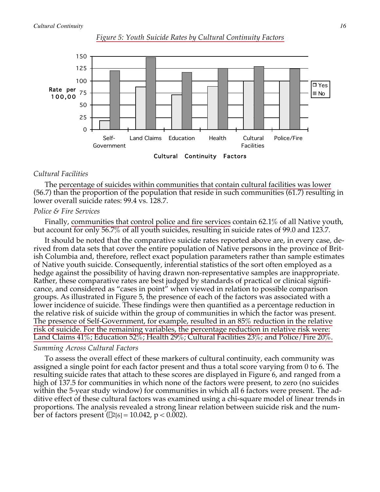



## *Cultural Facilities*

The percentage of suicides within communities that contain cultural facilities was lower (56.7) than the proportion of the population that reside in such communities (61.7) resulting in lower overall suicide rates: 99.4 vs. 128.7.

## *Police & Fire Services*

Finally, communities that control police and fire services contain 62.1% of all Native youth, but account for only 56.7% of all youth suicides, resulting in suicide rates of 99.0 and 123.7.

It should be noted that the comparative suicide rates reported above are, in every case, derived from data sets that cover the entire population of Native persons in the province of British Columbia and, therefore, reflect exact population parameters rather than sample estimates of Native youth suicide. Consequently, inferential statistics of the sort often employed as a hedge against the possibility of having drawn non-representative samples are inappropriate. Rather, these comparative rates are best judged by standards of practical or clinical significance, and considered as "cases in point" when viewed in relation to possible comparison groups. As illustrated in Figure 5, the presence of each of the factors was associated with a lower incidence of suicide. These findings were then quantified as a percentage reduction in the relative risk of suicide within the group of communities in which the factor was present. The presence of Self-Government, for example, resulted in an 85% reduction in the relative risk of suicide. For the remaining variables, the percentage reduction in relative risk were: Land Claims 41%; Education 52%; Health 29%; Cultural Facilities 23%; and Police/Fire 20%.

## *Summing Across Cultural Factors*

To assess the overall effect of these markers of cultural continuity, each community was assigned a single point for each factor present and thus a total score varying from 0 to 6. The resulting suicide rates that attach to these scores are displayed in Figure 6, and ranged from a high of 137.5 for communities in which none of the factors were present, to zero (no suicides within the 5-year study window) for communities in which all 6 factors were present. The additive effect of these cultural factors was examined using a chi-square model of linear trends in proportions. The analysis revealed a strong linear relation between suicide risk and the number of factors present  $(\chi^2[6] = 10.042, p < 0.002)$ .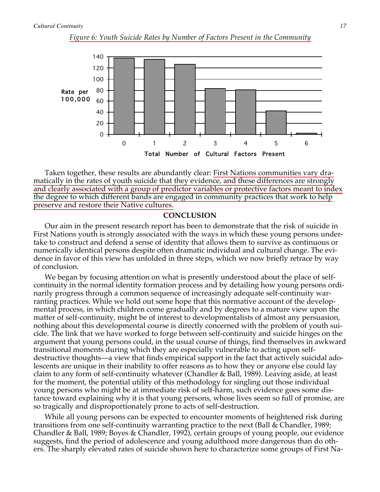

0 1 2 3 4 5 6 Total Number of Cultural Factors Present



Taken together, these results are abundantly clear: First Nations communities vary dramatically in the rates of youth suicide that they evidence, and these differences are strongly and clearly associated with a group of predictor variables or protective factors meant to index the degree to which different bands are engaged in community practices that work to help preserve and restore their Native cultures.

### **CONCLUSION**

Our aim in the present research report has been to demonstrate that the risk of suicide in First Nations youth is strongly associated with the ways in which these young persons undertake to construct and defend a sense of identity that allows them to survive as continuous or numerically identical persons despite often dramatic individual and cultural change. The evidence in favor of this view has unfolded in three steps, which we now briefly retrace by way of conclusion.

We began by focusing attention on what is presently understood about the place of selfcontinuity in the normal identity formation process and by detailing how young persons ordinarily progress through a common sequence of increasingly adequate self-continuity warranting practices. While we hold out some hope that this normative account of the developmental process, in which children come gradually and by degrees to a mature view upon the matter of self-continuity, might be of interest to developmentalists of almost any persuasion, nothing about this developmental course is directly concerned with the problem of youth suicide. The link that we have worked to forge between self-continuity and suicide hinges on the argument that young persons could, in the usual course of things, find themselves in awkward transitional moments during which they are especially vulnerable to acting upon selfdestructive thoughts—a view that finds empirical support in the fact that actively suicidal adolescents are unique in their inability to offer reasons as to how they or anyone else could lay claim to any form of self-continuity whatever (Chandler & Ball, 1989). Leaving aside, at least for the moment, the potential utility of this methodology for singling out those individual young persons who might be at immediate risk of self-harm, such evidence goes some distance toward explaining why it is that young persons, whose lives seem so full of promise, are so tragically and disproportionately prone to acts of self-destruction.

While all young persons can be expected to encounter moments of heightened risk during transitions from one self-continuity warranting practice to the next (Ball & Chandler, 1989; Chandler & Ball, 1989; Boyes & Chandler, 1992), certain groups of young people, our evidence suggests, find the period of adolescence and young adulthood more dangerous than do others. The sharply elevated rates of suicide shown here to characterize some groups of First Na-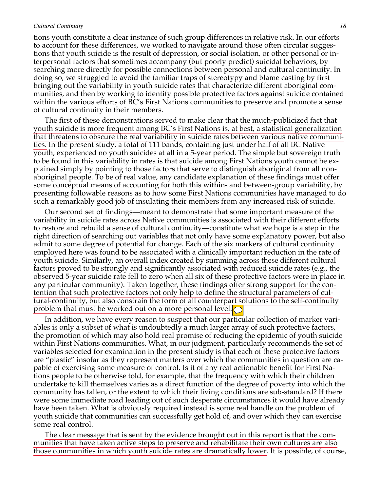tions youth constitute a clear instance of such group differences in relative risk. In our efforts to account for these differences, we worked to navigate around those often circular suggestions that youth suicide is the result of depression, or social isolation, or other personal or interpersonal factors that sometimes accompany (but poorly predict) suicidal behaviors, by searching more directly for possible connections between personal and cultural continuity. In doing so, we struggled to avoid the familiar traps of stereotypy and blame casting by first bringing out the variability in youth suicide rates that characterize different aboriginal communities, and then by working to identify possible protective factors against suicide contained within the various efforts of BC's First Nations communities to preserve and promote a sense of cultural continuity in their members.

The first of these demonstrations served to make clear that the much-publicized fact that youth suicide is more frequent among BC's First Nations is, at best, a statistical generalization that threatens to obscure the real variability in suicide rates between various native communities. In the present study, a total of 111 bands, containing just under half of all BC Native youth, experienced no youth suicides at all in a 5-year period. The simple but sovereign truth to be found in this variability in rates is that suicide among First Nations youth cannot be explained simply by pointing to those factors that serve to distinguish aboriginal from all nonaboriginal people. To be of real value, any candidate explanation of these findings must offer some conceptual means of accounting for both this within- and between-group variability, by presenting followable reasons as to how some First Nations communities have managed to do such a remarkably good job of insulating their members from any increased risk of suicide.

Our second set of findings—meant to demonstrate that some important measure of the variability in suicide rates across Native communities is associated with their different efforts to restore and rebuild a sense of cultural continuity—constitute what we hope is a step in the right direction of searching out variables that not only have some explanatory power, but also admit to some degree of potential for change. Each of the six markers of cultural continuity employed here was found to be associated with a clinically important reduction in the rate of youth suicide. Similarly, an overall index created by summing across these different cultural factors proved to be strongly and significantly associated with reduced suicide rates (e.g., the observed 5-year suicide rate fell to zero when all six of these protective factors were in place in any particular community). Taken together, these findings offer strong support for the contention that such protective factors not only help to define the structural parameters of cultural-continuity, but also constrain the form of all counterpart solutions to the self-continuity problem that must be worked out on a more personal level.  $\bigcirc$ 

In addition, we have every reason to suspect that our particular collection of marker variables is only a subset of what is undoubtedly a much larger array of such protective factors, the promotion of which may also hold real promise of reducing the epidemic of youth suicide within First Nations communities. What, in our judgment, particularly recommends the set of variables selected for examination in the present study is that each of these protective factors are "plastic" insofar as they represent matters over which the communities in question are capable of exercising some measure of control. Is it of any real actionable benefit for First Nations people to be otherwise told, for example, that the frequency with which their children undertake to kill themselves varies as a direct function of the degree of poverty into which the community has fallen, or the extent to which their living conditions are sub-standard? If there were some immediate road leading out of such desperate circumstances it would have already have been taken. What is obviously required instead is some real handle on the problem of youth suicide that communities can successfully get hold of, and over which they can exercise some real control.

The clear message that is sent by the evidence brought out in this report is that the communities that have taken active steps to preserve and rehabilitate their own cultures are also those communities in which youth suicide rates are dramatically lower. It is possible, of course,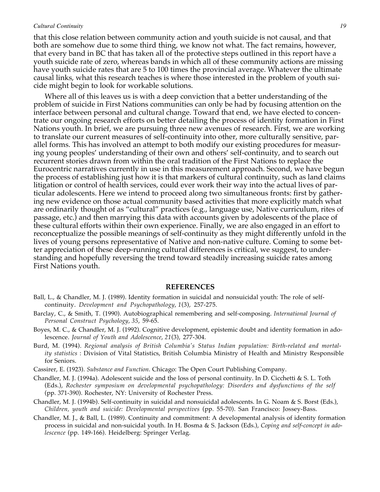that this close relation between community action and youth suicide is not causal, and that both are somehow due to some third thing, we know not what. The fact remains, however, that every band in BC that has taken all of the protective steps outlined in this report have a youth suicide rate of zero, whereas bands in which all of these community actions are missing have youth suicide rates that are 5 to 100 times the provincial average. Whatever the ultimate causal links, what this research teaches is where those interested in the problem of youth suicide might begin to look for workable solutions.

Where all of this leaves us is with a deep conviction that a better understanding of the problem of suicide in First Nations communities can only be had by focusing attention on the interface between personal and cultural change. Toward that end, we have elected to concentrate our ongoing research efforts on better detailing the process of identity formation in First Nations youth. In brief, we are pursuing three new avenues of research. First, we are working to translate our current measures of self-continuity into other, more culturally sensitive, parallel forms. This has involved an attempt to both modify our existing procedures for measuring young peoples' understanding of their own and others' self-continuity, and to search out recurrent stories drawn from within the oral tradition of the First Nations to replace the Eurocentric narratives currently in use in this measurement approach. Second, we have begun the process of establishing just how it is that markers of cultural continuity, such as land claims litigation or control of health services, could ever work their way into the actual lives of particular adolescents. Here we intend to proceed along two simultaneous fronts: first by gathering new evidence on those actual community based activities that more explicitly match what are ordinarily thought of as "cultural" practices (e.g., language use, Native curriculum, rites of passage, etc.) and then marrying this data with accounts given by adolescents of the place of these cultural efforts within their own experience. Finally, we are also engaged in an effort to reconceptualize the possible meanings of self-continuity as they might differently unfold in the lives of young persons representative of Native and non-native culture. Coming to some better appreciation of these deep-running cultural differences is critical, we suggest, to understanding and hopefully reversing the trend toward steadily increasing suicide rates among First Nations youth.

#### **REFERENCES**

- Ball, L., & Chandler, M. J. (1989). Identity formation in suicidal and nonsuicidal youth: The role of selfcontinuity. *Development and Psychopathology*, *1*(3), 257-275.
- Barclay, C., & Smith, T. (1990). Autobiographical remembering and self-composing. *International Journal of Personal Construct Psychology*, *35*, 59-65.
- Boyes, M. C., & Chandler, M. J. (1992). Cognitive development, epistemic doubt and identity formation in adolescence. *Journal of Youth and Adolescence*, *21*(3), 277-304.
- Burd, M. (1994). *Regional analysis of British Columbia's Status Indian population: Birth-related and mortality statistics* : Division of Vital Statistics, British Columbia Ministry of Health and Ministry Responsible for Seniors.
- Cassirer, E. (1923). *Substance and Function*. Chicago: The Open Court Publishing Company.
- Chandler, M. J. (1994a). Adolescent suicide and the loss of personal continuity. In D. Cicchetti & S. L. Toth (Eds.), *Rochester symposium on developmental psychopathology: Disorders and dysfunctions of the self* (pp. 371-390). Rochester, NY: University of Rochester Press.
- Chandler, M. J. (1994b). Self-continuity in suicidal and nonsuicidal adolescents. In G. Noam & S. Borst (Eds.), *Children, youth and suicide: Developmental perspectives* (pp. 55-70). San Francisco: Jossey-Bass.
- Chandler, M. J., & Ball, L. (1989). Continuity and commitment: A developmental analysis of identity formation process in suicidal and non-suicidal youth. In H. Bosma & S. Jackson (Eds.), *Coping and self-concept in adolescence* (pp. 149-166). Heidelberg: Springer Verlag.